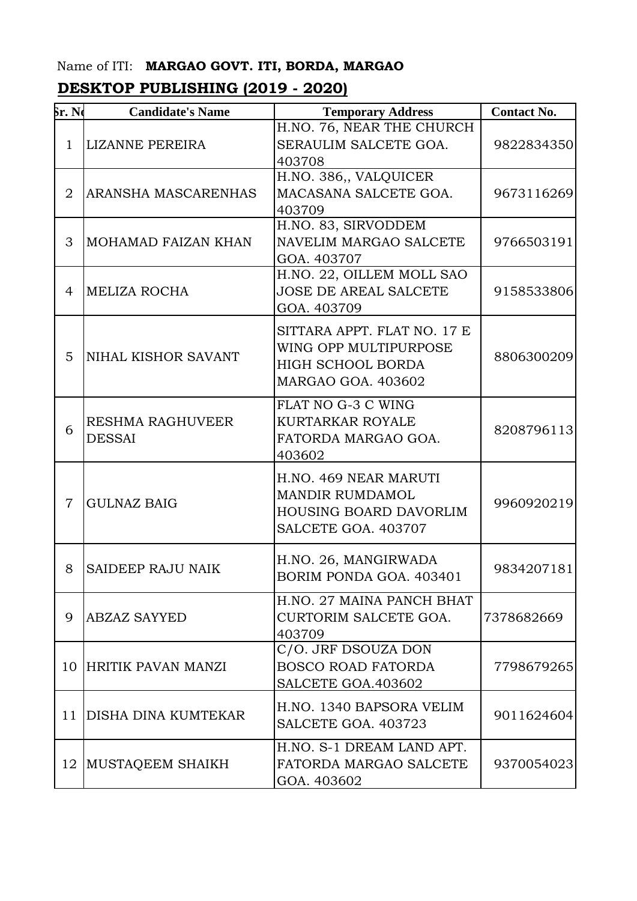## Name of ITI: **MARGAO GOVT. ITI, BORDA, MARGAO**

## **DESKTOP PUBLISHING (2019 - 2020)**

| <b>Sr. Ne</b>  | <b>Candidate's Name</b>                  | <b>Temporary Address</b>                                                                                      | <b>Contact No.</b> |
|----------------|------------------------------------------|---------------------------------------------------------------------------------------------------------------|--------------------|
| $\mathbf{1}$   | <b>LIZANNE PEREIRA</b>                   | H.NO. 76, NEAR THE CHURCH<br>SERAULIM SALCETE GOA.<br>403708                                                  | 9822834350         |
| $\overline{2}$ | ARANSHA MASCARENHAS                      | H.NO. 386,, VALQUICER<br>MACASANA SALCETE GOA.<br>403709                                                      | 9673116269         |
| 3              | MOHAMAD FAIZAN KHAN                      | H.NO. 83, SIRVODDEM<br>NAVELIM MARGAO SALCETE<br>GOA. 403707                                                  | 9766503191         |
| 4              | <b>MELIZA ROCHA</b>                      | H.NO. 22, OILLEM MOLL SAO<br><b>JOSE DE AREAL SALCETE</b><br>GOA. 403709                                      | 9158533806         |
| 5              | NIHAL KISHOR SAVANT                      | SITTARA APPT. FLAT NO. 17 E<br>WING OPP MULTIPURPOSE<br><b>HIGH SCHOOL BORDA</b><br><b>MARGAO GOA. 403602</b> | 8806300209         |
| 6              | <b>RESHMA RAGHUVEER</b><br><b>DESSAI</b> | FLAT NO G-3 C WING<br><b>KURTARKAR ROYALE</b><br>FATORDA MARGAO GOA.<br>403602                                | 8208796113         |
| $\overline{7}$ | <b>GULNAZ BAIG</b>                       | H.NO. 469 NEAR MARUTI<br>MANDIR RUMDAMOL<br><b>HOUSING BOARD DAVORLIM</b><br>SALCETE GOA. 403707              | 9960920219         |
| 8              | SAIDEEP RAJU NAIK                        | H.NO. 26, MANGIRWADA<br>BORIM PONDA GOA, 403401                                                               | 9834207181         |
| 9              | <b>ABZAZ SAYYED</b>                      | H.NO. 27 MAINA PANCH BHAT<br>CURTORIM SALCETE GOA.<br>403709                                                  | 7378682669         |
| 10             | <b>HRITIK PAVAN MANZI</b>                | C/O. JRF DSOUZA DON<br><b>BOSCO ROAD FATORDA</b><br>SALCETE GOA.403602                                        | 7798679265         |
| 11             | <b>DISHA DINA KUMTEKAR</b>               | H.NO. 1340 BAPSORA VELIM<br>SALCETE GOA. 403723                                                               | 9011624604         |
| 12             | MUSTAQEEM SHAIKH                         | H.NO. S-1 DREAM LAND APT.<br>FATORDA MARGAO SALCETE<br>GOA. 403602                                            | 9370054023         |